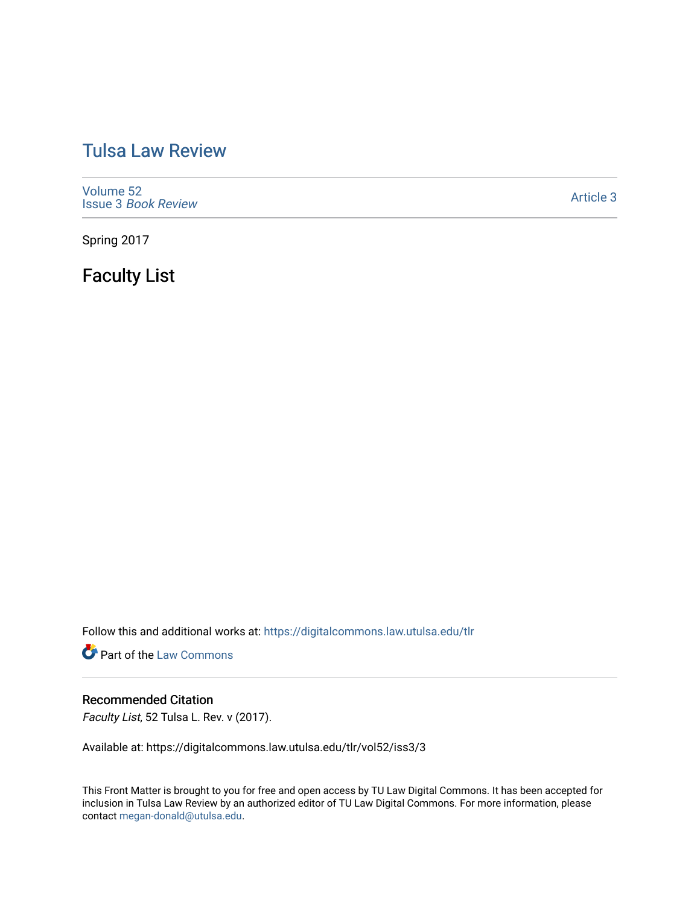# [Tulsa Law Review](https://digitalcommons.law.utulsa.edu/tlr)

[Volume 52](https://digitalcommons.law.utulsa.edu/tlr/vol52) Issue 3 [Book Review](https://digitalcommons.law.utulsa.edu/tlr/vol52/iss3)

[Article 3](https://digitalcommons.law.utulsa.edu/tlr/vol52/iss3/3) 

Spring 2017

Faculty List

Follow this and additional works at: [https://digitalcommons.law.utulsa.edu/tlr](https://digitalcommons.law.utulsa.edu/tlr?utm_source=digitalcommons.law.utulsa.edu%2Ftlr%2Fvol52%2Fiss3%2F3&utm_medium=PDF&utm_campaign=PDFCoverPages) 

**Part of the [Law Commons](http://network.bepress.com/hgg/discipline/578?utm_source=digitalcommons.law.utulsa.edu%2Ftlr%2Fvol52%2Fiss3%2F3&utm_medium=PDF&utm_campaign=PDFCoverPages)** 

## Recommended Citation

Faculty List, 52 Tulsa L. Rev. v (2017).

Available at: https://digitalcommons.law.utulsa.edu/tlr/vol52/iss3/3

This Front Matter is brought to you for free and open access by TU Law Digital Commons. It has been accepted for inclusion in Tulsa Law Review by an authorized editor of TU Law Digital Commons. For more information, please contact [megan-donald@utulsa.edu.](mailto:megan-donald@utulsa.edu)